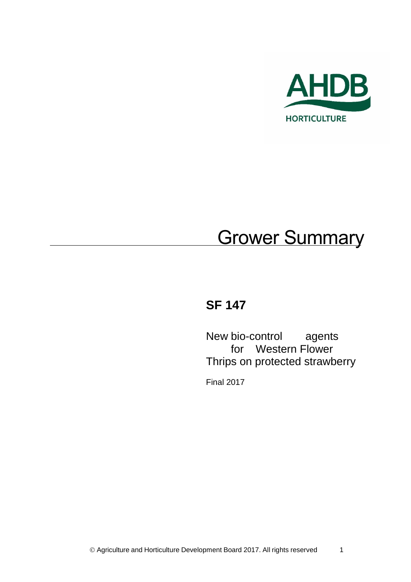

# **Grower Summary**

# **SF 147**

New bio-control agents for Western Flower Thrips on protected strawberry

Final 2017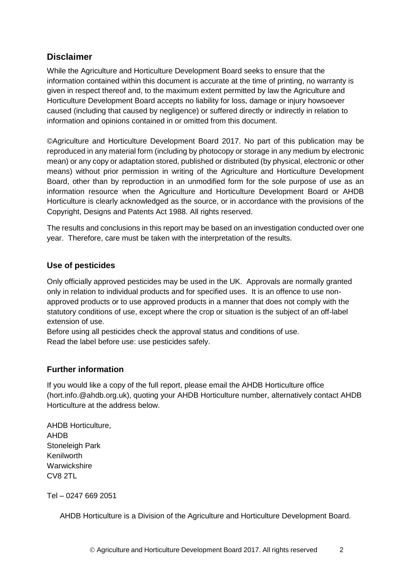### **Disclaimer**

While the Agriculture and Horticulture Development Board seeks to ensure that the information contained within this document is accurate at the time of printing, no warranty is given in respect thereof and, to the maximum extent permitted by law the Agriculture and Horticulture Development Board accepts no liability for loss, damage or injury howsoever caused (including that caused by negligence) or suffered directly or indirectly in relation to information and opinions contained in or omitted from this document.

©Agriculture and Horticulture Development Board 2017. No part of this publication may be reproduced in any material form (including by photocopy or storage in any medium by electronic mean) or any copy or adaptation stored, published or distributed (by physical, electronic or other means) without prior permission in writing of the Agriculture and Horticulture Development Board, other than by reproduction in an unmodified form for the sole purpose of use as an information resource when the Agriculture and Horticulture Development Board or AHDB Horticulture is clearly acknowledged as the source, or in accordance with the provisions of the Copyright, Designs and Patents Act 1988. All rights reserved.

The results and conclusions in this report may be based on an investigation conducted over one year. Therefore, care must be taken with the interpretation of the results.

#### **Use of pesticides**

Only officially approved pesticides may be used in the UK. Approvals are normally granted only in relation to individual products and for specified uses. It is an offence to use nonapproved products or to use approved products in a manner that does not comply with the statutory conditions of use, except where the crop or situation is the subject of an off-label extension of use.

Before using all pesticides check the approval status and conditions of use. Read the label before use: use pesticides safely.

#### **Further information**

If you would like a copy of the full report, please email the AHDB Horticulture office (hort.info.@ahdb.org.uk), quoting your AHDB Horticulture number, alternatively contact AHDB Horticulture at the address below.

AHDB Horticulture, AHDB Stoneleigh Park Kenilworth **Warwickshire** CV8 2TL

Tel – 0247 669 2051

AHDB Horticulture is a Division of the Agriculture and Horticulture Development Board.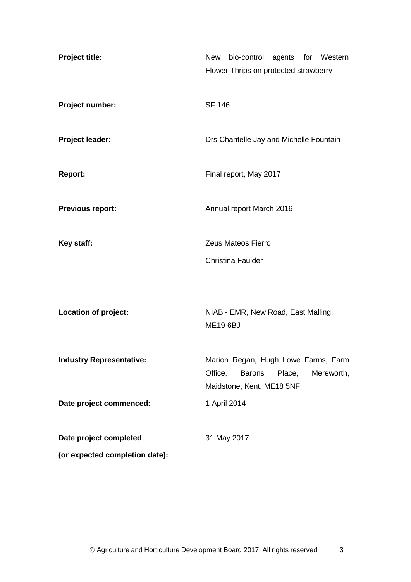| Project title:                  | New bio-control agents for Western<br>Flower Thrips on protected strawberry                                          |
|---------------------------------|----------------------------------------------------------------------------------------------------------------------|
| Project number:                 | <b>SF 146</b>                                                                                                        |
| <b>Project leader:</b>          | Drs Chantelle Jay and Michelle Fountain                                                                              |
| <b>Report:</b>                  | Final report, May 2017                                                                                               |
| <b>Previous report:</b>         | Annual report March 2016                                                                                             |
| Key staff:                      | Zeus Mateos Fierro                                                                                                   |
|                                 | <b>Christina Faulder</b>                                                                                             |
| <b>Location of project:</b>     | NIAB - EMR, New Road, East Malling,<br><b>ME19 6BJ</b>                                                               |
| <b>Industry Representative:</b> | Marion Regan, Hugh Lowe Farms, Farm<br>Office,<br><b>Barons</b><br>Place,<br>Mereworth,<br>Maidstone, Kent, ME18 5NF |
| Date project commenced:         | 1 April 2014                                                                                                         |
| Date project completed          | 31 May 2017                                                                                                          |
| (or expected completion date):  |                                                                                                                      |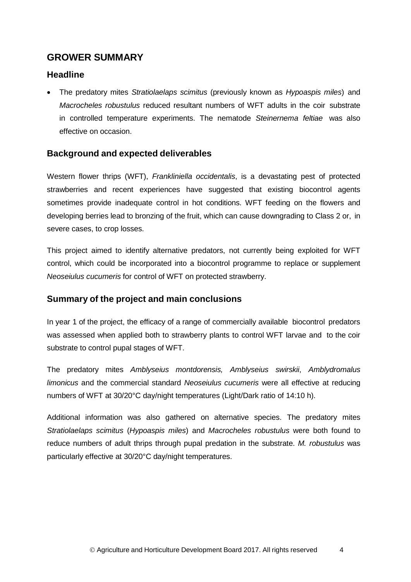## **GROWER SUMMARY**

### **Headline**

 The predatory mites *Stratiolaelaps scimitus* (previously known as *Hypoaspis miles*) and *Macrocheles robustulus* reduced resultant numbers of WFT adults in the coir substrate in controlled temperature experiments. The nematode *Steinernema feltiae* was also effective on occasion.

#### **Background and expected deliverables**

Western flower thrips (WFT), *Frankliniella occidentalis*, is a devastating pest of protected strawberries and recent experiences have suggested that existing biocontrol agents sometimes provide inadequate control in hot conditions. WFT feeding on the flowers and developing berries lead to bronzing of the fruit, which can cause downgrading to Class 2 or, in severe cases, to crop losses.

This project aimed to identify alternative predators, not currently being exploited for WFT control, which could be incorporated into a biocontrol programme to replace or supplement *Neoseiulus cucumeris* for control of WFT on protected strawberry.

#### **Summary of the project and main conclusions**

In year 1 of the project, the efficacy of a range of commercially available biocontrol predators was assessed when applied both to strawberry plants to control WFT larvae and to the coir substrate to control pupal stages of WFT.

The predatory mites *Amblyseius montdorensis, Amblyseius swirskii*, *Amblydromalus limonicus* and the commercial standard *Neoseiulus cucumeris* were all effective at reducing numbers of WFT at 30/20°C day/night temperatures (Light/Dark ratio of 14:10 h).

Additional information was also gathered on alternative species. The predatory mites *Stratiolaelaps scimitus* (*Hypoaspis miles*) and *Macrocheles robustulus* were both found to reduce numbers of adult thrips through pupal predation in the substrate. *M. robustulus* was particularly effective at 30/20°C day/night temperatures.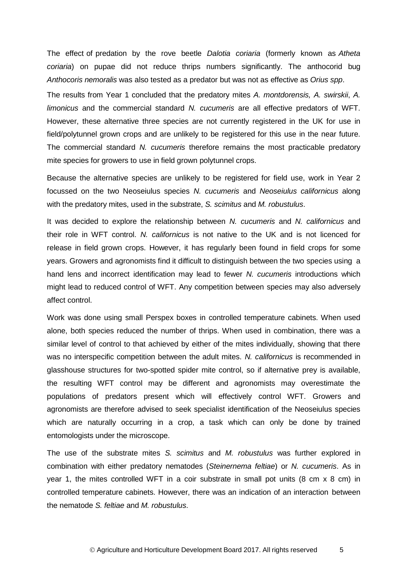The effect of predation by the rove beetle *Dalotia coriaria* (formerly known as *Atheta coriaria*) on pupae did not reduce thrips numbers significantly. The anthocorid bug *Anthocoris nemoralis* was also tested as a predator but was not as effective as *Orius spp*.

The results from Year 1 concluded that the predatory mites *A. montdorensis, A. swirskii*, *A. limonicus* and the commercial standard *N. cucumeris* are all effective predators of WFT. However, these alternative three species are not currently registered in the UK for use in field/polytunnel grown crops and are unlikely to be registered for this use in the near future. The commercial standard *N. cucumeris* therefore remains the most practicable predatory mite species for growers to use in field grown polytunnel crops.

Because the alternative species are unlikely to be registered for field use, work in Year 2 focussed on the two Neoseiulus species *N. cucumeris* and *Neoseiulus californicus* along with the predatory mites, used in the substrate, *S. scimitus* and *M. robustulus*.

It was decided to explore the relationship between *N. cucumeris* and *N. californicus* and their role in WFT control. *N. californicus* is not native to the UK and is not licenced for release in field grown crops. However, it has regularly been found in field crops for some years. Growers and agronomists find it difficult to distinguish between the two species using a hand lens and incorrect identification may lead to fewer *N. cucumeris* introductions which might lead to reduced control of WFT. Any competition between species may also adversely affect control.

Work was done using small Perspex boxes in controlled temperature cabinets. When used alone, both species reduced the number of thrips. When used in combination, there was a similar level of control to that achieved by either of the mites individually, showing that there was no interspecific competition between the adult mites. *N. californicus* is recommended in glasshouse structures for two-spotted spider mite control, so if alternative prey is available, the resulting WFT control may be different and agronomists may overestimate the populations of predators present which will effectively control WFT. Growers and agronomists are therefore advised to seek specialist identification of the Neoseiulus species which are naturally occurring in a crop, a task which can only be done by trained entomologists under the microscope.

The use of the substrate mites *S. scimitus* and *M. robustulus* was further explored in combination with either predatory nematodes (*Steinernema feltiae*) or *N. cucumeris*. As in year 1, the mites controlled WFT in a coir substrate in small pot units (8 cm x 8 cm) in controlled temperature cabinets. However, there was an indication of an interaction between the nematode *S. feltiae* and *M. robustulus*.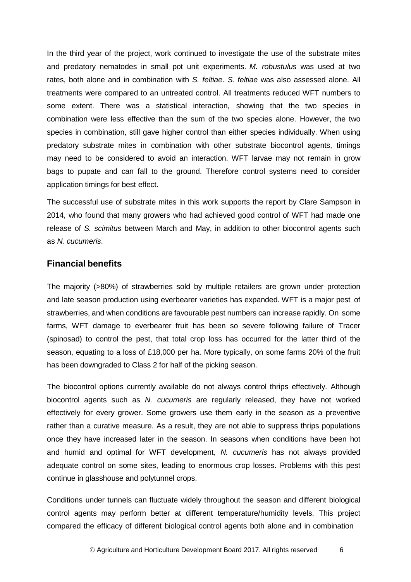In the third year of the project, work continued to investigate the use of the substrate mites and predatory nematodes in small pot unit experiments. *M. robustulus* was used at two rates, both alone and in combination with *S. feltiae*. *S. feltiae* was also assessed alone. All treatments were compared to an untreated control. All treatments reduced WFT numbers to some extent. There was a statistical interaction, showing that the two species in combination were less effective than the sum of the two species alone. However, the two species in combination, still gave higher control than either species individually. When using predatory substrate mites in combination with other substrate biocontrol agents, timings may need to be considered to avoid an interaction. WFT larvae may not remain in grow bags to pupate and can fall to the ground. Therefore control systems need to consider application timings for best effect.

The successful use of substrate mites in this work supports the report by Clare Sampson in 2014, who found that many growers who had achieved good control of WFT had made one release of *S. scimitus* between March and May, in addition to other biocontrol agents such as *N. cucumeris*.

#### **Financial benefits**

The majority (>80%) of strawberries sold by multiple retailers are grown under protection and late season production using everbearer varieties has expanded. WFT is a major pest of strawberries, and when conditions are favourable pest numbers can increase rapidly. On some farms, WFT damage to everbearer fruit has been so severe following failure of Tracer (spinosad) to control the pest, that total crop loss has occurred for the latter third of the season, equating to a loss of £18,000 per ha. More typically, on some farms 20% of the fruit has been downgraded to Class 2 for half of the picking season.

The biocontrol options currently available do not always control thrips effectively. Although biocontrol agents such as *N. cucumeris* are regularly released, they have not worked effectively for every grower. Some growers use them early in the season as a preventive rather than a curative measure. As a result, they are not able to suppress thrips populations once they have increased later in the season. In seasons when conditions have been hot and humid and optimal for WFT development, *N. cucumeris* has not always provided adequate control on some sites, leading to enormous crop losses. Problems with this pest continue in glasshouse and polytunnel crops.

Conditions under tunnels can fluctuate widely throughout the season and different biological control agents may perform better at different temperature/humidity levels. This project compared the efficacy of different biological control agents both alone and in combination